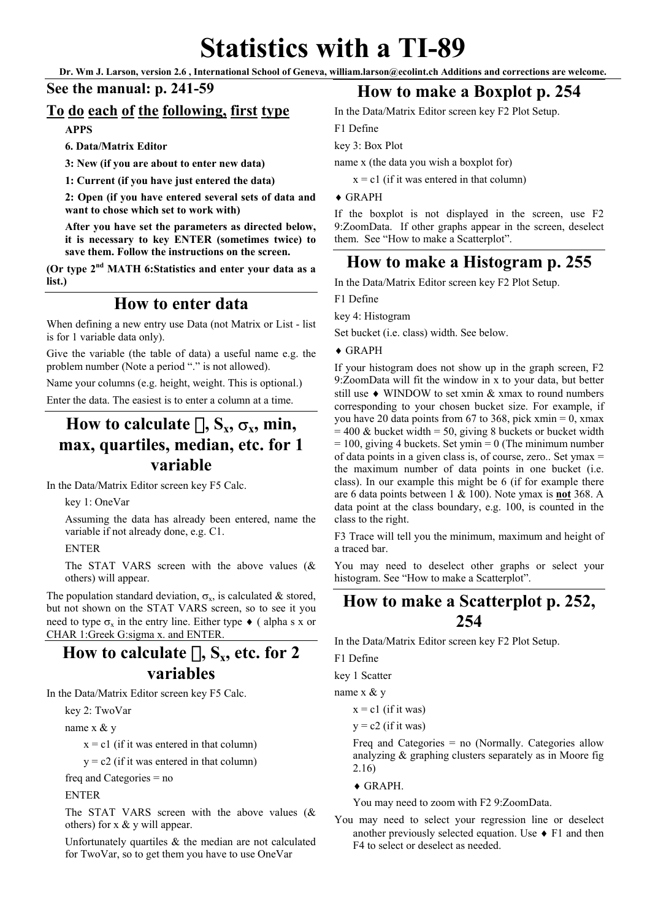# **Statistics with a TI-89**

**Dr. Wm J. Larson, version 2.6 , International School of Geneva, william.larson@ecolint.ch Additions and corrections are welcome.** 

#### **See the manual: p. 241-59**

#### **To do each of the following, first type**

**APPS** 

**6. Data/Matrix Editor** 

**3: New (if you are about to enter new data)** 

**1: Current (if you have just entered the data)** 

**2: Open (if you have entered several sets of data and want to chose which set to work with)** 

**After you have set the parameters as directed below, it is necessary to key ENTER (sometimes twice) to save them. Follow the instructions on the screen.** 

**(Or type 2nd MATH 6:Statistics and enter your data as a list.)**

#### **How to enter data**

When defining a new entry use Data (not Matrix or List - list is for 1 variable data only).

Give the variable (the table of data) a useful name e.g. the problem number (Note a period "." is not allowed).

Name your columns (e.g. height, weight. This is optional.)

Enter the data. The easiest is to enter a column at a time.

# **How to calculate**  $\Box$ ,  $S_x$ ,  $\sigma_x$ , min, **max, quartiles, median, etc. for 1 variable**

In the Data/Matrix Editor screen key F5 Calc.

key 1: OneVar

Assuming the data has already been entered, name the variable if not already done, e.g. C1.

ENTER

The STAT VARS screen with the above values (& others) will appear.

The population standard deviation,  $\sigma_x$ , is calculated & stored, but not shown on the STAT VARS screen, so to see it you need to type  $\sigma_x$  in the entry line. Either type  $\bullet$  (alpha s x or CHAR 1:Greek G:sigma x. and ENTER.

## How to calculate  $\prod$ , S<sub>x</sub>, etc. for 2 **variables**

In the Data/Matrix Editor screen key F5 Calc.

key 2: TwoVar

name x & y

 $x = c1$  (if it was entered in that column)

 $y = c2$  (if it was entered in that column)

freq and Categories = no

ENTER

The STAT VARS screen with the above values (& others) for  $x \& y$  will appear.

Unfortunately quartiles & the median are not calculated for TwoVar, so to get them you have to use OneVar

## **How to make a Boxplot p. 254**

In the Data/Matrix Editor screen key F2 Plot Setup.

F1 Define

key 3: Box Plot

name x (the data you wish a boxplot for)

 $x = c1$  (if it was entered in that column)

 $\triangle$  GRAPH

If the boxplot is not displayed in the screen, use F2 9:ZoomData. If other graphs appear in the screen, deselect them. See "How to make a Scatterplot".

#### **How to make a Histogram p. 255**

In the Data/Matrix Editor screen key F2 Plot Setup.

F1 Define

key 4: Histogram

Set bucket (i.e. class) width. See below.

 $\triangle$  GRAPH

If your histogram does not show up in the graph screen, F2 9:ZoomData will fit the window in x to your data, but better still use ♦ WINDOW to set xmin & xmax to round numbers corresponding to your chosen bucket size. For example, if you have 20 data points from 67 to 368, pick xmin = 0, xmax  $= 400 \&$  bucket width  $= 50$ , giving 8 buckets or bucket width  $= 100$ , giving 4 buckets. Set ymin  $= 0$  (The minimum number of data points in a given class is, of course, zero.. Set ymax = the maximum number of data points in one bucket (i.e. class). In our example this might be 6 (if for example there are 6 data points between 1 & 100). Note ymax is **not** 368. A data point at the class boundary, e.g. 100, is counted in the class to the right.

F3 Trace will tell you the minimum, maximum and height of a traced bar.

You may need to deselect other graphs or select your histogram. See "How to make a Scatterplot".

## **How to make a Scatterplot p. 252, 254**

In the Data/Matrix Editor screen key F2 Plot Setup.

F1 Define

key 1 Scatter

name x & y

 $x = c1$  (if it was)

 $y = c2$  (if it was)

Freq and Categories = no (Normally. Categories allow analyzing & graphing clusters separately as in Moore fig 2.16)

 $\triangle$  GRAPH.

You may need to zoom with F2 9:ZoomData.

You may need to select your regression line or deselect another previously selected equation. Use  $\triangle$  F1 and then F4 to select or deselect as needed.